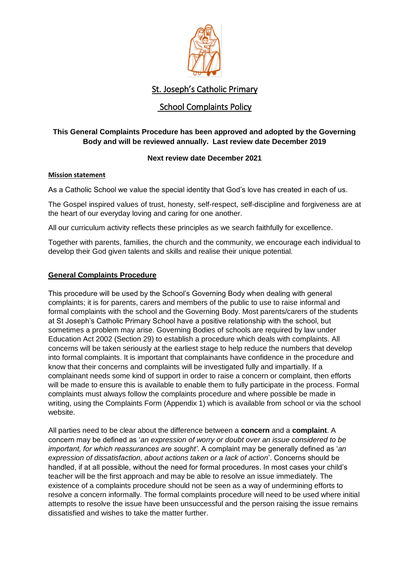

## School Complaints Policy

#### **This General Complaints Procedure has been approved and adopted by the Governing Body and will be reviewed annually. Last review date December 2019**

#### **Next review date December 2021**

#### **Mission statement**

As a Catholic School we value the special identity that God's love has created in each of us.

The Gospel inspired values of trust, honesty, self-respect, self-discipline and forgiveness are at the heart of our everyday loving and caring for one another.

All our curriculum activity reflects these principles as we search faithfully for excellence.

Together with parents, families, the church and the community, we encourage each individual to develop their God given talents and skills and realise their unique potential.

#### **General Complaints Procedure**

This procedure will be used by the School's Governing Body when dealing with general complaints; it is for parents, carers and members of the public to use to raise informal and formal complaints with the school and the Governing Body. Most parents/carers of the students at St Joseph's Catholic Primary School have a positive relationship with the school, but sometimes a problem may arise. Governing Bodies of schools are required by law under Education Act 2002 (Section 29) to establish a procedure which deals with complaints. All concerns will be taken seriously at the earliest stage to help reduce the numbers that develop into formal complaints. It is important that complainants have confidence in the procedure and know that their concerns and complaints will be investigated fully and impartially. If a complainant needs some kind of support in order to raise a concern or complaint, then efforts will be made to ensure this is available to enable them to fully participate in the process. Formal complaints must always follow the complaints procedure and where possible be made in writing, using the Complaints Form (Appendix 1) which is available from school or via the school website.

All parties need to be clear about the difference between a **concern** and a **complaint**. A concern may be defined as '*an expression of worry or doubt over an issue considered to be important, for which reassurances are sought'*. A complaint may be generally defined as '*an expression of dissatisfaction, about actions taken or a lack of action*'. Concerns should be handled, if at all possible, without the need for formal procedures. In most cases your child's teacher will be the first approach and may be able to resolve an issue immediately. The existence of a complaints procedure should not be seen as a way of undermining efforts to resolve a concern informally. The formal complaints procedure will need to be used where initial attempts to resolve the issue have been unsuccessful and the person raising the issue remains dissatisfied and wishes to take the matter further.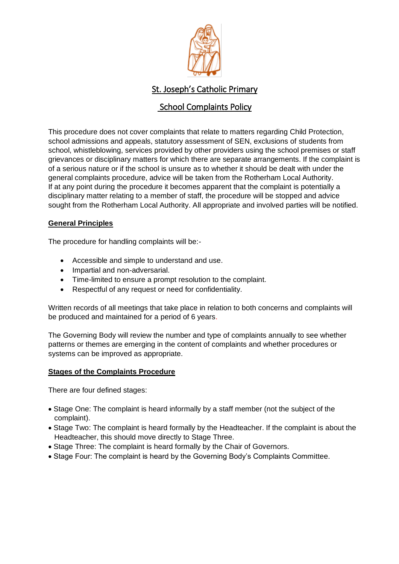

## School Complaints Policy

This procedure does not cover complaints that relate to matters regarding Child Protection, school admissions and appeals, statutory assessment of SEN, exclusions of students from school, whistleblowing, services provided by other providers using the school premises or staff grievances or disciplinary matters for which there are separate arrangements. If the complaint is of a serious nature or if the school is unsure as to whether it should be dealt with under the general complaints procedure, advice will be taken from the Rotherham Local Authority. If at any point during the procedure it becomes apparent that the complaint is potentially a disciplinary matter relating to a member of staff, the procedure will be stopped and advice sought from the Rotherham Local Authority. All appropriate and involved parties will be notified.

#### **General Principles**

The procedure for handling complaints will be:-

- Accessible and simple to understand and use.
- Impartial and non-adversarial.
- Time-limited to ensure a prompt resolution to the complaint.
- Respectful of any request or need for confidentiality.

Written records of all meetings that take place in relation to both concerns and complaints will be produced and maintained for a period of 6 years.

The Governing Body will review the number and type of complaints annually to see whether patterns or themes are emerging in the content of complaints and whether procedures or systems can be improved as appropriate.

#### **Stages of the Complaints Procedure**

There are four defined stages:

- Stage One: The complaint is heard informally by a staff member (not the subject of the complaint).
- Stage Two: The complaint is heard formally by the Headteacher. If the complaint is about the Headteacher, this should move directly to Stage Three.
- Stage Three: The complaint is heard formally by the Chair of Governors.
- Stage Four: The complaint is heard by the Governing Body's Complaints Committee.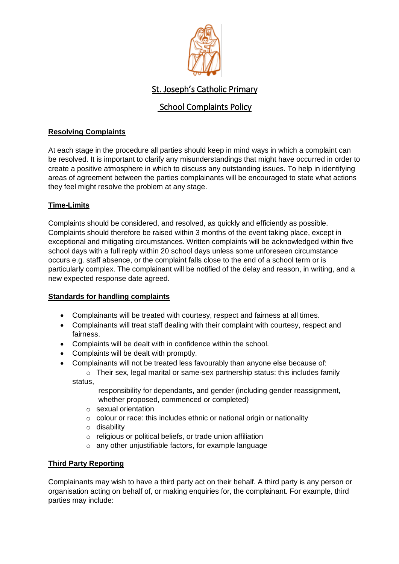

## School Complaints Policy

#### **Resolving Complaints**

At each stage in the procedure all parties should keep in mind ways in which a complaint can be resolved. It is important to clarify any misunderstandings that might have occurred in order to create a positive atmosphere in which to discuss any outstanding issues. To help in identifying areas of agreement between the parties complainants will be encouraged to state what actions they feel might resolve the problem at any stage.

#### **Time-Limits**

Complaints should be considered, and resolved, as quickly and efficiently as possible. Complaints should therefore be raised within 3 months of the event taking place, except in exceptional and mitigating circumstances. Written complaints will be acknowledged within five school days with a full reply within 20 school days unless some unforeseen circumstance occurs e.g. staff absence, or the complaint falls close to the end of a school term or is particularly complex. The complainant will be notified of the delay and reason, in writing, and a new expected response date agreed.

#### **Standards for handling complaints**

- Complainants will be treated with courtesy, respect and fairness at all times.
- Complainants will treat staff dealing with their complaint with courtesy, respect and fairness.
- Complaints will be dealt with in confidence within the school.
- Complaints will be dealt with promptly.
- Complainants will not be treated less favourably than anyone else because of:
	- $\circ$  Their sex, legal marital or same-sex partnership status: this includes family status,

 responsibility for dependants, and gender (including gender reassignment, whether proposed, commenced or completed)

- o sexual orientation
- o colour or race: this includes ethnic or national origin or nationality
- o disability
- o religious or political beliefs, or trade union affiliation
- o any other unjustifiable factors, for example language

#### **Third Party Reporting**

Complainants may wish to have a third party act on their behalf. A third party is any person or organisation acting on behalf of, or making enquiries for, the complainant. For example, third parties may include: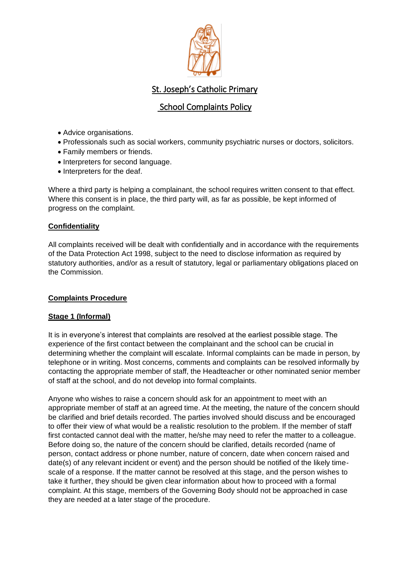

## School Complaints Policy

- Advice organisations.
- Professionals such as social workers, community psychiatric nurses or doctors, solicitors.
- Family members or friends.
- Interpreters for second language.
- Interpreters for the deaf.

Where a third party is helping a complainant, the school requires written consent to that effect. Where this consent is in place, the third party will, as far as possible, be kept informed of progress on the complaint.

#### **Confidentiality**

All complaints received will be dealt with confidentially and in accordance with the requirements of the Data Protection Act 1998, subject to the need to disclose information as required by statutory authorities, and/or as a result of statutory, legal or parliamentary obligations placed on the Commission.

#### **Complaints Procedure**

#### **Stage 1 (Informal)**

It is in everyone's interest that complaints are resolved at the earliest possible stage. The experience of the first contact between the complainant and the school can be crucial in determining whether the complaint will escalate. Informal complaints can be made in person, by telephone or in writing. Most concerns, comments and complaints can be resolved informally by contacting the appropriate member of staff, the Headteacher or other nominated senior member of staff at the school, and do not develop into formal complaints.

Anyone who wishes to raise a concern should ask for an appointment to meet with an appropriate member of staff at an agreed time. At the meeting, the nature of the concern should be clarified and brief details recorded. The parties involved should discuss and be encouraged to offer their view of what would be a realistic resolution to the problem. If the member of staff first contacted cannot deal with the matter, he/she may need to refer the matter to a colleague. Before doing so, the nature of the concern should be clarified, details recorded (name of person, contact address or phone number, nature of concern, date when concern raised and date(s) of any relevant incident or event) and the person should be notified of the likely timescale of a response. If the matter cannot be resolved at this stage, and the person wishes to take it further, they should be given clear information about how to proceed with a formal complaint. At this stage, members of the Governing Body should not be approached in case they are needed at a later stage of the procedure.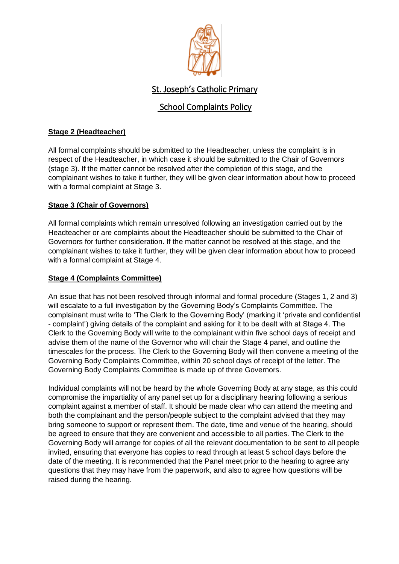

## School Complaints Policy

#### **Stage 2 (Headteacher)**

All formal complaints should be submitted to the Headteacher, unless the complaint is in respect of the Headteacher, in which case it should be submitted to the Chair of Governors (stage 3). If the matter cannot be resolved after the completion of this stage, and the complainant wishes to take it further, they will be given clear information about how to proceed with a formal complaint at Stage 3.

#### **Stage 3 (Chair of Governors)**

All formal complaints which remain unresolved following an investigation carried out by the Headteacher or are complaints about the Headteacher should be submitted to the Chair of Governors for further consideration. If the matter cannot be resolved at this stage, and the complainant wishes to take it further, they will be given clear information about how to proceed with a formal complaint at Stage 4.

#### **Stage 4 (Complaints Committee)**

An issue that has not been resolved through informal and formal procedure (Stages 1, 2 and 3) will escalate to a full investigation by the Governing Body's Complaints Committee. The complainant must write to 'The Clerk to the Governing Body' (marking it 'private and confidential - complaint') giving details of the complaint and asking for it to be dealt with at Stage 4. The Clerk to the Governing Body will write to the complainant within five school days of receipt and advise them of the name of the Governor who will chair the Stage 4 panel, and outline the timescales for the process. The Clerk to the Governing Body will then convene a meeting of the Governing Body Complaints Committee, within 20 school days of receipt of the letter. The Governing Body Complaints Committee is made up of three Governors.

Individual complaints will not be heard by the whole Governing Body at any stage, as this could compromise the impartiality of any panel set up for a disciplinary hearing following a serious complaint against a member of staff. It should be made clear who can attend the meeting and both the complainant and the person/people subject to the complaint advised that they may bring someone to support or represent them. The date, time and venue of the hearing, should be agreed to ensure that they are convenient and accessible to all parties. The Clerk to the Governing Body will arrange for copies of all the relevant documentation to be sent to all people invited, ensuring that everyone has copies to read through at least 5 school days before the date of the meeting. It is recommended that the Panel meet prior to the hearing to agree any questions that they may have from the paperwork, and also to agree how questions will be raised during the hearing.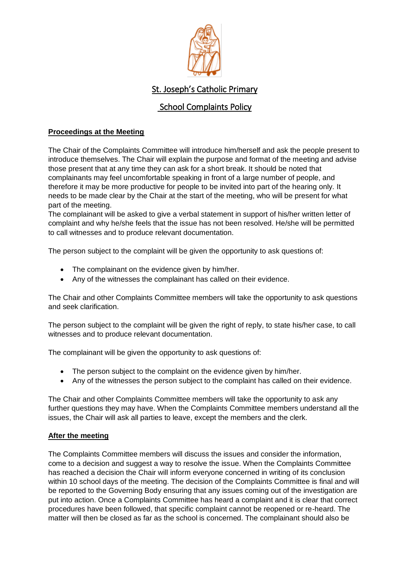

## School Complaints Policy

#### **Proceedings at the Meeting**

The Chair of the Complaints Committee will introduce him/herself and ask the people present to introduce themselves. The Chair will explain the purpose and format of the meeting and advise those present that at any time they can ask for a short break. It should be noted that complainants may feel uncomfortable speaking in front of a large number of people, and therefore it may be more productive for people to be invited into part of the hearing only. It needs to be made clear by the Chair at the start of the meeting, who will be present for what part of the meeting.

The complainant will be asked to give a verbal statement in support of his/her written letter of complaint and why he/she feels that the issue has not been resolved. He/she will be permitted to call witnesses and to produce relevant documentation.

The person subject to the complaint will be given the opportunity to ask questions of:

- The complainant on the evidence given by him/her.
- Any of the witnesses the complainant has called on their evidence.

The Chair and other Complaints Committee members will take the opportunity to ask questions and seek clarification.

The person subject to the complaint will be given the right of reply, to state his/her case, to call witnesses and to produce relevant documentation.

The complainant will be given the opportunity to ask questions of:

- The person subject to the complaint on the evidence given by him/her.
- Any of the witnesses the person subject to the complaint has called on their evidence.

The Chair and other Complaints Committee members will take the opportunity to ask any further questions they may have. When the Complaints Committee members understand all the issues, the Chair will ask all parties to leave, except the members and the clerk.

#### **After the meeting**

The Complaints Committee members will discuss the issues and consider the information, come to a decision and suggest a way to resolve the issue. When the Complaints Committee has reached a decision the Chair will inform everyone concerned in writing of its conclusion within 10 school days of the meeting. The decision of the Complaints Committee is final and will be reported to the Governing Body ensuring that any issues coming out of the investigation are put into action. Once a Complaints Committee has heard a complaint and it is clear that correct procedures have been followed, that specific complaint cannot be reopened or re-heard. The matter will then be closed as far as the school is concerned. The complainant should also be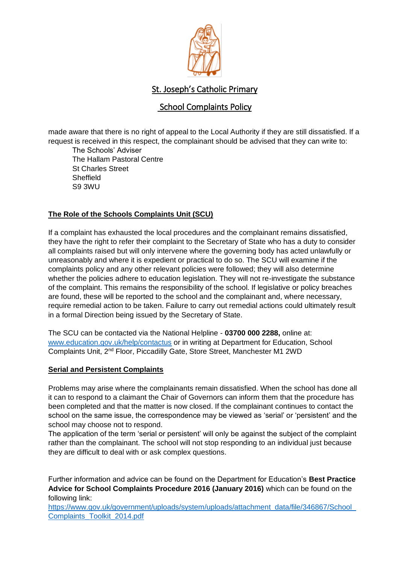

## School Complaints Policy

made aware that there is no right of appeal to the Local Authority if they are still dissatisfied. If a request is received in this respect, the complainant should be advised that they can write to:

The Schools' Adviser The Hallam Pastoral Centre St Charles Street **Sheffield** S9 3WU

#### **The Role of the Schools Complaints Unit (SCU)**

If a complaint has exhausted the local procedures and the complainant remains dissatisfied, they have the right to refer their complaint to the Secretary of State who has a duty to consider all complaints raised but will only intervene where the governing body has acted unlawfully or unreasonably and where it is expedient or practical to do so. The SCU will examine if the complaints policy and any other relevant policies were followed; they will also determine whether the policies adhere to education legislation. They will not re-investigate the substance of the complaint. This remains the responsibility of the school. If legislative or policy breaches are found, these will be reported to the school and the complainant and, where necessary, require remedial action to be taken. Failure to carry out remedial actions could ultimately result in a formal Direction being issued by the Secretary of State.

The SCU can be contacted via the National Helpline - **03700 000 2288,** online at: [www.education.gov.uk/help/contactus](http://www.education.gov.uk/help/contactus) or in writing at Department for Education, School Complaints Unit, 2nd Floor, Piccadilly Gate, Store Street, Manchester M1 2WD

#### **Serial and Persistent Complaints**

Problems may arise where the complainants remain dissatisfied. When the school has done all it can to respond to a claimant the Chair of Governors can inform them that the procedure has been completed and that the matter is now closed. If the complainant continues to contact the school on the same issue, the correspondence may be viewed as 'serial' or 'persistent' and the school may choose not to respond.

The application of the term 'serial or persistent' will only be against the subject of the complaint rather than the complainant. The school will not stop responding to an individual just because they are difficult to deal with or ask complex questions.

Further information and advice can be found on the Department for Education's **Best Practice Advice for School Complaints Procedure 2016 (January 2016)** which can be found on the following link:

[https://www.gov.uk/government/uploads/system/uploads/attachment\\_data/file/346867/School\\_](https://www.gov.uk/government/uploads/system/uploads/attachment_data/file/346867/School_Complaints_Toolkit_2014.pdf) [Complaints\\_Toolkit\\_2014.pdf](https://www.gov.uk/government/uploads/system/uploads/attachment_data/file/346867/School_Complaints_Toolkit_2014.pdf)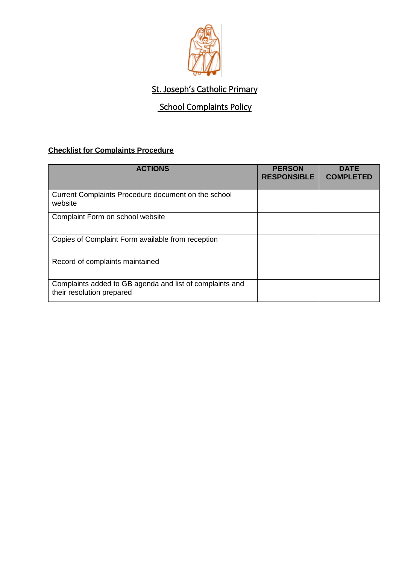

## **School Complaints Policy**

### **Checklist for Complaints Procedure**

| <b>ACTIONS</b>                                                                        | <b>PERSON</b><br><b>RESPONSIBLE</b> | <b>DATE</b><br><b>COMPLETED</b> |
|---------------------------------------------------------------------------------------|-------------------------------------|---------------------------------|
| Current Complaints Procedure document on the school<br>website                        |                                     |                                 |
| Complaint Form on school website                                                      |                                     |                                 |
| Copies of Complaint Form available from reception                                     |                                     |                                 |
| Record of complaints maintained                                                       |                                     |                                 |
| Complaints added to GB agenda and list of complaints and<br>their resolution prepared |                                     |                                 |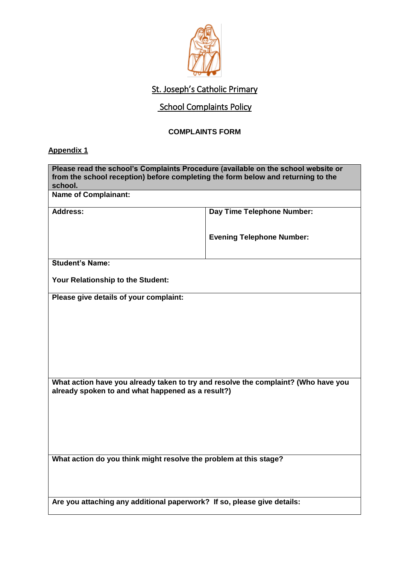

## **School Complaints Policy**

## **COMPLAINTS FORM**

### **Appendix 1**

| Please read the school's Complaints Procedure (available on the school website or<br>from the school reception) before completing the form below and returning to the |                                  |  |  |  |
|-----------------------------------------------------------------------------------------------------------------------------------------------------------------------|----------------------------------|--|--|--|
| school.                                                                                                                                                               |                                  |  |  |  |
| <b>Name of Complainant:</b>                                                                                                                                           |                                  |  |  |  |
| Address:                                                                                                                                                              | Day Time Telephone Number:       |  |  |  |
|                                                                                                                                                                       |                                  |  |  |  |
|                                                                                                                                                                       | <b>Evening Telephone Number:</b> |  |  |  |
|                                                                                                                                                                       |                                  |  |  |  |
|                                                                                                                                                                       |                                  |  |  |  |
| <b>Student's Name:</b>                                                                                                                                                |                                  |  |  |  |
| Your Relationship to the Student:                                                                                                                                     |                                  |  |  |  |
| Please give details of your complaint:                                                                                                                                |                                  |  |  |  |
|                                                                                                                                                                       |                                  |  |  |  |
|                                                                                                                                                                       |                                  |  |  |  |
|                                                                                                                                                                       |                                  |  |  |  |
|                                                                                                                                                                       |                                  |  |  |  |
|                                                                                                                                                                       |                                  |  |  |  |
|                                                                                                                                                                       |                                  |  |  |  |
|                                                                                                                                                                       |                                  |  |  |  |
| What action have you already taken to try and resolve the complaint? (Who have you<br>already spoken to and what happened as a result?)                               |                                  |  |  |  |
|                                                                                                                                                                       |                                  |  |  |  |
|                                                                                                                                                                       |                                  |  |  |  |
|                                                                                                                                                                       |                                  |  |  |  |
|                                                                                                                                                                       |                                  |  |  |  |
|                                                                                                                                                                       |                                  |  |  |  |
| What action do you think might resolve the problem at this stage?                                                                                                     |                                  |  |  |  |
|                                                                                                                                                                       |                                  |  |  |  |
|                                                                                                                                                                       |                                  |  |  |  |
|                                                                                                                                                                       |                                  |  |  |  |
| Are you attaching any additional paperwork? If so, please give details:                                                                                               |                                  |  |  |  |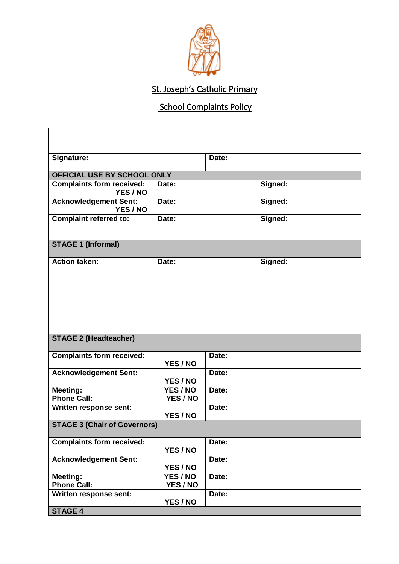

# **School Complaints Policy**

| Signature:                                   |                      | Date: |         |  |  |
|----------------------------------------------|----------------------|-------|---------|--|--|
| OFFICIAL USE BY SCHOOL ONLY                  |                      |       |         |  |  |
| <b>Complaints form received:</b><br>YES / NO | Date:                |       | Signed: |  |  |
| <b>Acknowledgement Sent:</b><br>YES / NO     | Date:                |       | Signed: |  |  |
| <b>Complaint referred to:</b>                | Date:                |       | Signed: |  |  |
| <b>STAGE 1 (Informal)</b>                    |                      |       |         |  |  |
| <b>Action taken:</b>                         | Date:                |       | Signed: |  |  |
| <b>STAGE 2 (Headteacher)</b>                 |                      |       |         |  |  |
| <b>Complaints form received:</b>             | YES / NO             | Date: |         |  |  |
| <b>Acknowledgement Sent:</b>                 | YES / NO             | Date: |         |  |  |
| <b>Meeting:</b><br><b>Phone Call:</b>        | YES / NO<br>YES / NO | Date: |         |  |  |
| Written response sent:                       | YES / NO             | Date: |         |  |  |
| <b>STAGE 3 (Chair of Governors)</b>          |                      |       |         |  |  |
| <b>Complaints form received:</b>             | YES / NO             | Date: |         |  |  |
| <b>Acknowledgement Sent:</b>                 | YES / NO             | Date: |         |  |  |
| Meeting:<br><b>Phone Call:</b>               | YES / NO<br>YES / NO | Date: |         |  |  |
| Written response sent:                       | YES / NO             | Date: |         |  |  |
| <b>STAGE 4</b>                               |                      |       |         |  |  |